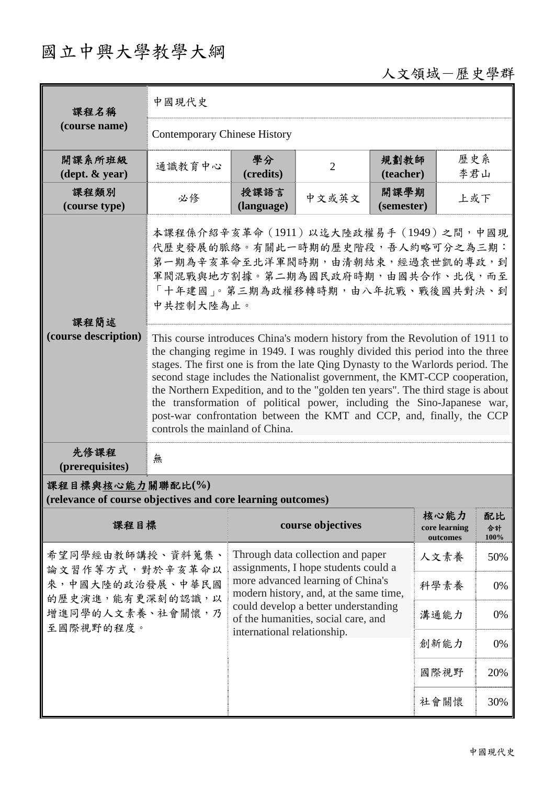## 國立中興大學教學大綱

## 人文領域-歷史學群

| 課程名稱<br>(course name)                                                                                        | 中國現代史                                                                                                                                                                                                                                                                                                                                                                                                                                                                                                                                                                                                                                                                                                                                                                                                          |                                                                                                                                                            |                   |                    |                                   |                  |  |
|--------------------------------------------------------------------------------------------------------------|----------------------------------------------------------------------------------------------------------------------------------------------------------------------------------------------------------------------------------------------------------------------------------------------------------------------------------------------------------------------------------------------------------------------------------------------------------------------------------------------------------------------------------------------------------------------------------------------------------------------------------------------------------------------------------------------------------------------------------------------------------------------------------------------------------------|------------------------------------------------------------------------------------------------------------------------------------------------------------|-------------------|--------------------|-----------------------------------|------------------|--|
|                                                                                                              | <b>Contemporary Chinese History</b>                                                                                                                                                                                                                                                                                                                                                                                                                                                                                                                                                                                                                                                                                                                                                                            |                                                                                                                                                            |                   |                    |                                   |                  |  |
| 開課系所班級<br>$(\text{dept.} \& \text{ year})$                                                                   | 通識教育中心                                                                                                                                                                                                                                                                                                                                                                                                                                                                                                                                                                                                                                                                                                                                                                                                         | 學分<br>(credits)                                                                                                                                            | $\overline{2}$    | 規劃教師<br>(teacher)  | 歷史系<br>李君山                        |                  |  |
| 課程類別<br>(course type)                                                                                        | 必修                                                                                                                                                                                                                                                                                                                                                                                                                                                                                                                                                                                                                                                                                                                                                                                                             | 授課語言<br>(language)                                                                                                                                         | 中文或英文             | 開課學期<br>(semester) | 上或下                               |                  |  |
| 課程簡述<br>(course description)                                                                                 | 本課程係介紹辛亥革命(1911)以迄大陸政權易手(1949)之間,中國現<br>代歷史發展的脈絡。有關此一時期的歷史階段,吾人約略可分之為三期:<br>第一期為辛亥革命至北洋軍閥時期,由清朝結束,經過袁世凱的專政,到<br>軍閥混戰與地方割據。第二期為國民政府時期,由國共合作、北伐,而至<br>「十年建國」。第三期為政權移轉時期,由八年抗戰、戰後國共對決、到<br>中共控制大陸為止。<br>This course introduces China's modern history from the Revolution of 1911 to<br>the changing regime in 1949. I was roughly divided this period into the three<br>stages. The first one is from the late Qing Dynasty to the Warlords period. The<br>second stage includes the Nationalist government, the KMT-CCP cooperation,<br>the Northern Expedition, and to the "golden ten years". The third stage is about<br>the transformation of political power, including the Sino-Japanese war,<br>post-war confrontation between the KMT and CCP, and, finally, the CCP<br>controls the mainland of China. |                                                                                                                                                            |                   |                    |                                   |                  |  |
| 先修課程<br>(prerequisites)                                                                                      | 無                                                                                                                                                                                                                                                                                                                                                                                                                                                                                                                                                                                                                                                                                                                                                                                                              |                                                                                                                                                            |                   |                    |                                   |                  |  |
| 課程目標與核心能力關聯配比(%)<br>(relevance of course objectives and core learning outcomes)                              |                                                                                                                                                                                                                                                                                                                                                                                                                                                                                                                                                                                                                                                                                                                                                                                                                |                                                                                                                                                            |                   |                    |                                   |                  |  |
| 課程目標                                                                                                         |                                                                                                                                                                                                                                                                                                                                                                                                                                                                                                                                                                                                                                                                                                                                                                                                                |                                                                                                                                                            | course objectives |                    | 核心能力<br>core learning<br>outcomes | 配比<br>合計<br>100% |  |
| 希望同學經由教師講授、資料蒐集、<br>論文習作等方式,對於辛亥革命以<br>來,中國大陸的政治發展、中華民國<br>的歷史演進,能有更深刻的認識,以<br>增進同學的人文素養、社會關懷,乃<br>至國際視野的程度。 |                                                                                                                                                                                                                                                                                                                                                                                                                                                                                                                                                                                                                                                                                                                                                                                                                | Through data collection and paper<br>assignments, I hope students could a                                                                                  |                   |                    | 人文素養                              | 50%              |  |
|                                                                                                              |                                                                                                                                                                                                                                                                                                                                                                                                                                                                                                                                                                                                                                                                                                                                                                                                                | more advanced learning of China's<br>modern history, and, at the same time,<br>could develop a better understanding<br>of the humanities, social care, and |                   |                    | 科學素養                              | 0%               |  |
|                                                                                                              |                                                                                                                                                                                                                                                                                                                                                                                                                                                                                                                                                                                                                                                                                                                                                                                                                |                                                                                                                                                            |                   |                    | 溝通能力                              | 0%               |  |
|                                                                                                              |                                                                                                                                                                                                                                                                                                                                                                                                                                                                                                                                                                                                                                                                                                                                                                                                                | international relationship.                                                                                                                                |                   |                    | 創新能力                              | 0%               |  |
|                                                                                                              |                                                                                                                                                                                                                                                                                                                                                                                                                                                                                                                                                                                                                                                                                                                                                                                                                |                                                                                                                                                            |                   |                    | 國際視野                              | 20%              |  |
|                                                                                                              |                                                                                                                                                                                                                                                                                                                                                                                                                                                                                                                                                                                                                                                                                                                                                                                                                |                                                                                                                                                            |                   |                    | 社會關懷                              | 30%              |  |